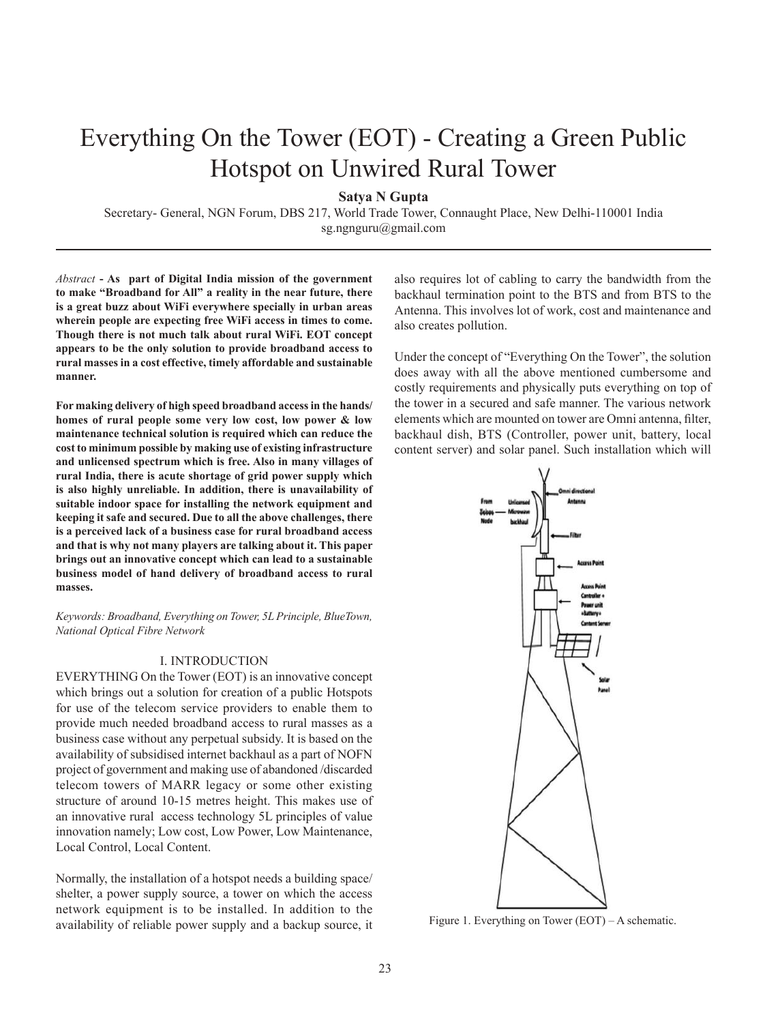# Everything On the Tower (EOT) - Creating a Green Public Hotspot on Unwired Rural Tower

**Satya N Gupta**

Secretary- General, NGN Forum, DBS 217, World Trade Tower, Connaught Place, New Delhi-110001 India sg.ngnguru@gmail.com

*Abstract* **- As part of Digital India mission of the government to make "Broadband for All" a reality in the near future, there is a great buzz about WiFi everywhere specially in urban areas wherein people are expecting free WiFi access in times to come. Though there is not much talk about rural WiFi. EOT concept appears to be the only solution to provide broadband access to rural masses in a cost effective, timely affordable and sustainable manner.** 

**For making delivery of high speed broadband access in the hands/ homes of rural people some very low cost, low power & low maintenance technical solution is required which can reduce the cost to minimum possible by making use of existing infrastructure and unlicensed spectrum which is free. Also in many villages of rural India, there is acute shortage of grid power supply which is also highly unreliable. In addition, there is unavailability of suitable indoor space for installing the network equipment and keeping it safe and secured. Due to all the above challenges, there is a perceived lack of a business case for rural broadband access and that is why not many players are talking about it. This paper brings out an innovative concept which can lead to a sustainable business model of hand delivery of broadband access to rural masses.**

*Keywords: Broadband, Everything on Tower, 5L Principle, BlueTown, National Optical Fibre Network*

## I. INTRODUCTION

EVERYTHING On the Tower (EOT) is an innovative concept which brings out a solution for creation of a public Hotspots for use of the telecom service providers to enable them to provide much needed broadband access to rural masses as a business case without any perpetual subsidy. It is based on the availability of subsidised internet backhaul as a part of NOFN project of government and making use of abandoned /discarded telecom towers of MARR legacy or some other existing structure of around 10-15 metres height. This makes use of an innovative rural access technology 5L principles of value innovation namely; Low cost, Low Power, Low Maintenance, Local Control, Local Content.

Normally, the installation of a hotspot needs a building space/ shelter, a power supply source, a tower on which the access network equipment is to be installed. In addition to the availability of reliable power supply and a backup source, it also requires lot of cabling to carry the bandwidth from the backhaul termination point to the BTS and from BTS to the Antenna. This involves lot of work, cost and maintenance and also creates pollution.

Under the concept of "Everything On the Tower", the solution does away with all the above mentioned cumbersome and costly requirements and physically puts everything on top of the tower in a secured and safe manner. The various network elements which are mounted on tower are Omni antenna, filter, backhaul dish, BTS (Controller, power unit, battery, local content server) and solar panel. Such installation which will



Figure 1. Everything on Tower (EOT) – A schematic.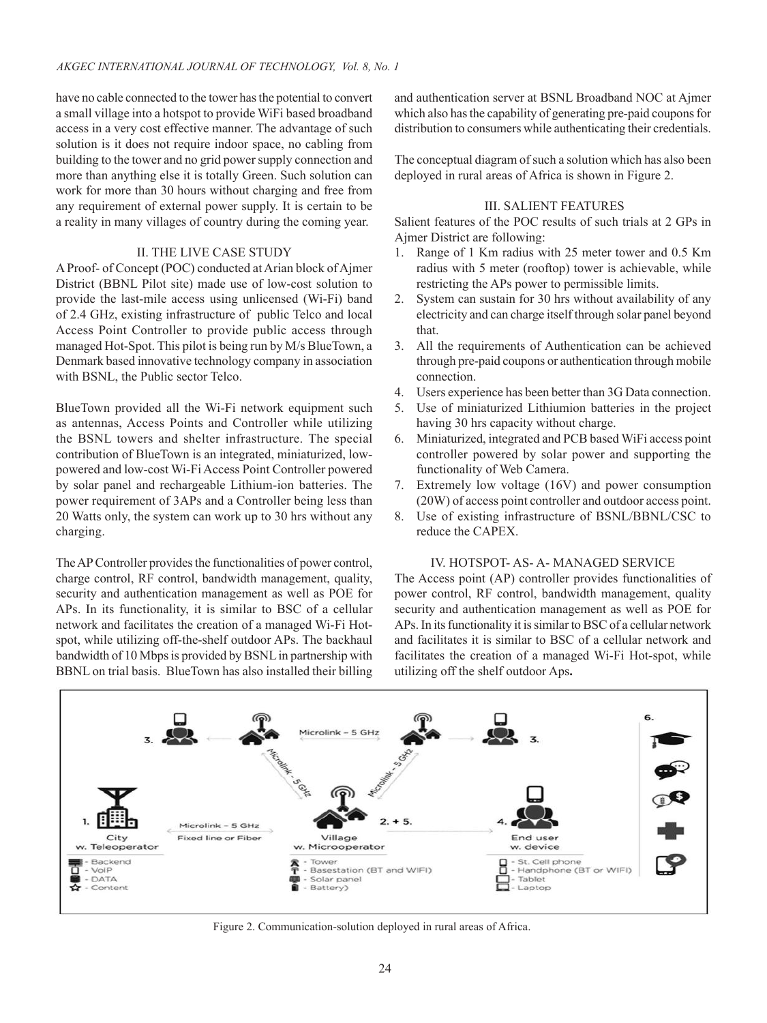have no cable connected to the tower has the potential to convert a small village into a hotspot to provide WiFi based broadband access in a very cost effective manner. The advantage of such solution is it does not require indoor space, no cabling from building to the tower and no grid power supply connection and more than anything else it is totally Green. Such solution can work for more than 30 hours without charging and free from any requirement of external power supply. It is certain to be a reality in many villages of country during the coming year.

## II. THE LIVE CASE STUDY

A Proof- of Concept (POC) conducted at Arian block of Ajmer District (BBNL Pilot site) made use of low-cost solution to provide the last-mile access using unlicensed (Wi-Fi) band of 2.4 GHz, existing infrastructure of public Telco and local Access Point Controller to provide public access through managed Hot-Spot. This pilot is being run by M/s BlueTown, a Denmark based innovative technology company in association with BSNL, the Public sector Telco.

BlueTown provided all the Wi-Fi network equipment such as antennas, Access Points and Controller while utilizing the BSNL towers and shelter infrastructure. The special contribution of BlueTown is an integrated, miniaturized, lowpowered and low-cost Wi-Fi Access Point Controller powered by solar panel and rechargeable Lithium-ion batteries. The power requirement of 3APs and a Controller being less than 20 Watts only, the system can work up to 30 hrs without any charging.

The AP Controller provides the functionalities of power control, charge control, RF control, bandwidth management, quality, security and authentication management as well as POE for APs. In its functionality, it is similar to BSC of a cellular network and facilitates the creation of a managed Wi-Fi Hotspot, while utilizing off-the-shelf outdoor APs. The backhaul bandwidth of 10 Mbps is provided by BSNL in partnership with BBNL on trial basis. BlueTown has also installed their billing and authentication server at BSNL Broadband NOC at Ajmer which also has the capability of generating pre-paid coupons for distribution to consumers while authenticating their credentials.

The conceptual diagram of such a solution which has also been deployed in rural areas of Africa is shown in Figure 2.

# III. SALIENT FEATURES

Salient features of the POC results of such trials at 2 GPs in Ajmer District are following:

- 1. Range of 1 Km radius with 25 meter tower and 0.5 Km radius with 5 meter (rooftop) tower is achievable, while restricting the APs power to permissible limits.
- 2. System can sustain for 30 hrs without availability of any electricity and can charge itself through solar panel beyond that.
- 3. All the requirements of Authentication can be achieved through pre-paid coupons or authentication through mobile connection.
- 4. Users experience has been better than 3G Data connection.
- 5. Use of miniaturized Lithiumion batteries in the project having 30 hrs capacity without charge.
- 6. Miniaturized, integrated and PCB based WiFi access point controller powered by solar power and supporting the functionality of Web Camera.
- 7. Extremely low voltage (16V) and power consumption (20W) of access point controller and outdoor access point.
- 8. Use of existing infrastructure of BSNL/BBNL/CSC to reduce the CAPEX.

#### IV. HOTSPOT- AS- A- MANAGED SERVICE

The Access point (AP) controller provides functionalities of power control, RF control, bandwidth management, quality security and authentication management as well as POE for APs. In its functionality it is similar to BSC of a cellular network and facilitates it is similar to BSC of a cellular network and facilitates the creation of a managed Wi-Fi Hot-spot, while utilizing off the shelf outdoor Aps**.**



Figure 2. Communication-solution deployed in rural areas of Africa.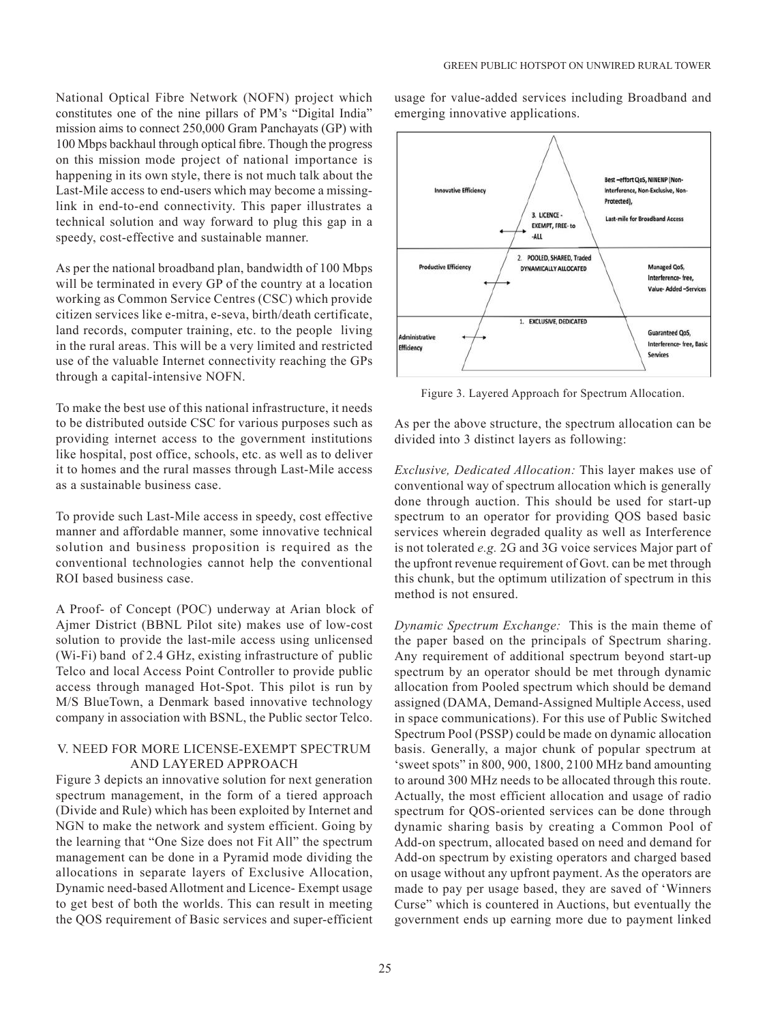National Optical Fibre Network (NOFN) project which constitutes one of the nine pillars of PM's "Digital India" mission aims to connect 250,000 Gram Panchayats (GP) with 100 Mbps backhaul through optical fibre. Though the progress on this mission mode project of national importance is happening in its own style, there is not much talk about the Last-Mile access to end-users which may become a missinglink in end-to-end connectivity. This paper illustrates a technical solution and way forward to plug this gap in a speedy, cost-effective and sustainable manner.

As per the national broadband plan, bandwidth of 100 Mbps will be terminated in every GP of the country at a location working as Common Service Centres (CSC) which provide citizen services like e-mitra, e-seva, birth/death certificate, land records, computer training, etc. to the people living in the rural areas. This will be a very limited and restricted use of the valuable Internet connectivity reaching the GPs through a capital-intensive NOFN.

To make the best use of this national infrastructure, it needs to be distributed outside CSC for various purposes such as providing internet access to the government institutions like hospital, post office, schools, etc. as well as to deliver it to homes and the rural masses through Last-Mile access as a sustainable business case.

To provide such Last-Mile access in speedy, cost effective manner and affordable manner, some innovative technical solution and business proposition is required as the conventional technologies cannot help the conventional ROI based business case.

A Proof- of Concept (POC) underway at Arian block of Ajmer District (BBNL Pilot site) makes use of low-cost solution to provide the last-mile access using unlicensed (Wi-Fi) band of 2.4 GHz, existing infrastructure of public Telco and local Access Point Controller to provide public access through managed Hot-Spot. This pilot is run by M/S BlueTown, a Denmark based innovative technology company in association with BSNL, the Public sector Telco.

# V. NEED FOR MORE LICENSE-EXEMPT SPECTRUM AND LAYERED APPROACH

Figure 3 depicts an innovative solution for next generation spectrum management, in the form of a tiered approach (Divide and Rule) which has been exploited by Internet and NGN to make the network and system efficient. Going by the learning that "One Size does not Fit All" the spectrum management can be done in a Pyramid mode dividing the allocations in separate layers of Exclusive Allocation, Dynamic need-based Allotment and Licence- Exempt usage to get best of both the worlds. This can result in meeting the QOS requirement of Basic services and super-efficient

usage for value-added services including Broadband and emerging innovative applications.



Figure 3. Layered Approach for Spectrum Allocation.

As per the above structure, the spectrum allocation can be divided into 3 distinct layers as following:

*Exclusive, Dedicated Allocation:* This layer makes use of conventional way of spectrum allocation which is generally done through auction. This should be used for start-up spectrum to an operator for providing QOS based basic services wherein degraded quality as well as Interference is not tolerated *e.g.* 2G and 3G voice services Major part of the upfront revenue requirement of Govt. can be met through this chunk, but the optimum utilization of spectrum in this method is not ensured.

*Dynamic Spectrum Exchange:* This is the main theme of the paper based on the principals of Spectrum sharing. Any requirement of additional spectrum beyond start-up spectrum by an operator should be met through dynamic allocation from Pooled spectrum which should be demand assigned (DAMA, Demand-Assigned Multiple Access, used in space communications). For this use of Public Switched Spectrum Pool (PSSP) could be made on dynamic allocation basis. Generally, a major chunk of popular spectrum at 'sweet spots" in 800, 900, 1800, 2100 MHz band amounting to around 300 MHz needs to be allocated through this route. Actually, the most efficient allocation and usage of radio spectrum for QOS-oriented services can be done through dynamic sharing basis by creating a Common Pool of Add-on spectrum, allocated based on need and demand for Add-on spectrum by existing operators and charged based on usage without any upfront payment. As the operators are made to pay per usage based, they are saved of 'Winners Curse" which is countered in Auctions, but eventually the government ends up earning more due to payment linked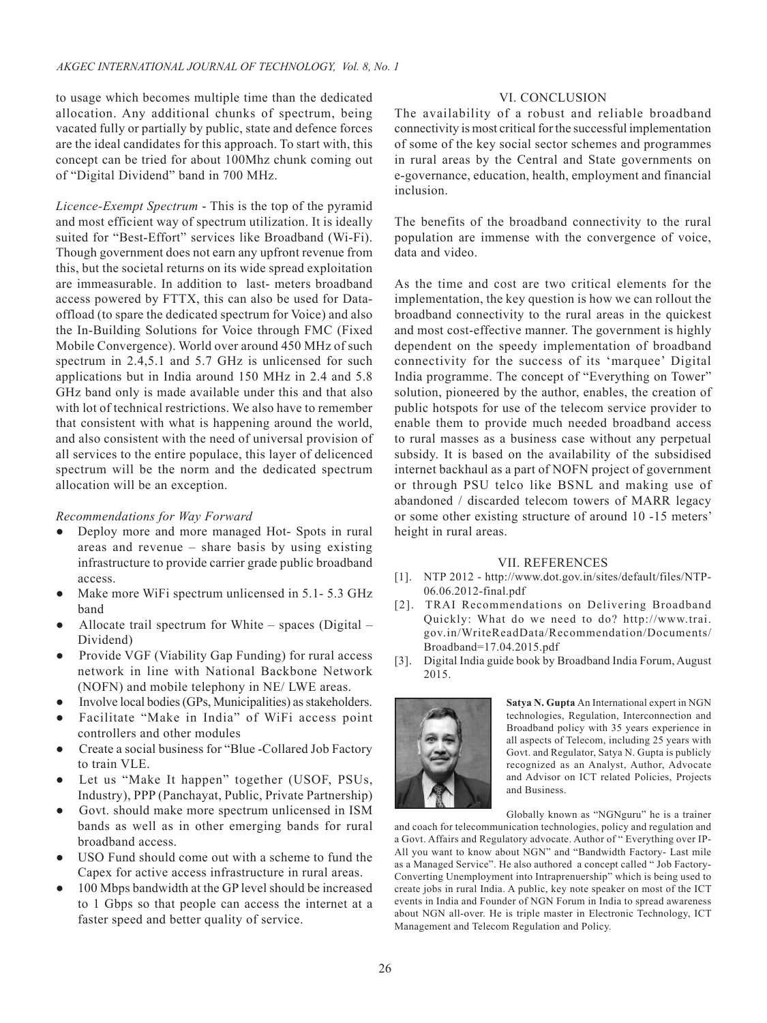to usage which becomes multiple time than the dedicated allocation. Any additional chunks of spectrum, being vacated fully or partially by public, state and defence forces are the ideal candidates for this approach. To start with, this concept can be tried for about 100Mhz chunk coming out of "Digital Dividend" band in 700 MHz.

*Licence-Exempt Spectrum* - This is the top of the pyramid and most efficient way of spectrum utilization. It is ideally suited for "Best-Effort" services like Broadband (Wi-Fi). Though government does not earn any upfront revenue from this, but the societal returns on its wide spread exploitation are immeasurable. In addition to last- meters broadband access powered by FTTX, this can also be used for Dataoffload (to spare the dedicated spectrum for Voice) and also the In-Building Solutions for Voice through FMC (Fixed Mobile Convergence). World over around 450 MHz of such spectrum in 2.4,5.1 and 5.7 GHz is unlicensed for such applications but in India around 150 MHz in 2.4 and 5.8 GHz band only is made available under this and that also with lot of technical restrictions. We also have to remember that consistent with what is happening around the world, and also consistent with the need of universal provision of all services to the entire populace, this layer of delicenced spectrum will be the norm and the dedicated spectrum allocation will be an exception.

#### *Recommendations for Way Forward*

- Deploy more and more managed Hot- Spots in rural areas and revenue – share basis by using existing infrastructure to provide carrier grade public broadband access.
- Make more WiFi spectrum unlicensed in 5.1- 5.3 GHz band
- Allocate trail spectrum for White spaces (Digital Dividend)
- Provide VGF (Viability Gap Funding) for rural access network in line with National Backbone Network (NOFN) and mobile telephony in NE/ LWE areas.
- Involve local bodies (GPs, Municipalities) as stakeholders.
- Facilitate "Make in India" of WiFi access point controllers and other modules
- Create a social business for "Blue -Collared Job Factory to train VLE.
- Let us "Make It happen" together (USOF, PSUs, Industry), PPP (Panchayat, Public, Private Partnership)
- Govt. should make more spectrum unlicensed in ISM bands as well as in other emerging bands for rural broadband access.
- USO Fund should come out with a scheme to fund the Capex for active access infrastructure in rural areas.
- 100 Mbps bandwidth at the GP level should be increased to 1 Gbps so that people can access the internet at a faster speed and better quality of service.

## VI. CONCLUSION

The availability of a robust and reliable broadband connectivity is most critical for the successful implementation of some of the key social sector schemes and programmes in rural areas by the Central and State governments on e-governance, education, health, employment and financial inclusion.

The benefits of the broadband connectivity to the rural population are immense with the convergence of voice, data and video.

As the time and cost are two critical elements for the implementation, the key question is how we can rollout the broadband connectivity to the rural areas in the quickest and most cost-effective manner. The government is highly dependent on the speedy implementation of broadband connectivity for the success of its 'marquee' Digital India programme. The concept of "Everything on Tower" solution, pioneered by the author, enables, the creation of public hotspots for use of the telecom service provider to enable them to provide much needed broadband access to rural masses as a business case without any perpetual subsidy. It is based on the availability of the subsidised internet backhaul as a part of NOFN project of government or through PSU telco like BSNL and making use of abandoned / discarded telecom towers of MARR legacy or some other existing structure of around 10 -15 meters' height in rural areas.

#### VII. REFERENCES

- [1]. NTP 2012 http://www.dot.gov.in/sites/default/files/NTP-06.06.2012-final.pdf
- [2]. TRAI Recommendations on Delivering Broadband Quickly: What do we need to do? http://www.trai. gov.in/WriteReadData/Recommendation/Documents/ Broadband=17.04.2015.pdf
- [3]. Digital India guide book by Broadband India Forum, August 2015.



**Satya N. Gupta** An International expert in NGN technologies, Regulation, Interconnection and Broadband policy with 35 years experience in all aspects of Telecom, including 25 years with Govt. and Regulator, Satya N. Gupta is publicly recognized as an Analyst, Author, Advocate and Advisor on ICT related Policies, Projects and Business.

Globally known as "NGNguru" he is a trainer

and coach for telecommunication technologies, policy and regulation and a Govt. Affairs and Regulatory advocate. Author of " Everything over IP-All you want to know about NGN" and "Bandwidth Factory- Last mile as a Managed Service". He also authored a concept called " Job Factory-Converting Unemployment into Intraprenuership" which is being used to create jobs in rural India. A public, key note speaker on most of the ICT events in India and Founder of NGN Forum in India to spread awareness about NGN all-over. He is triple master in Electronic Technology, ICT Management and Telecom Regulation and Policy.